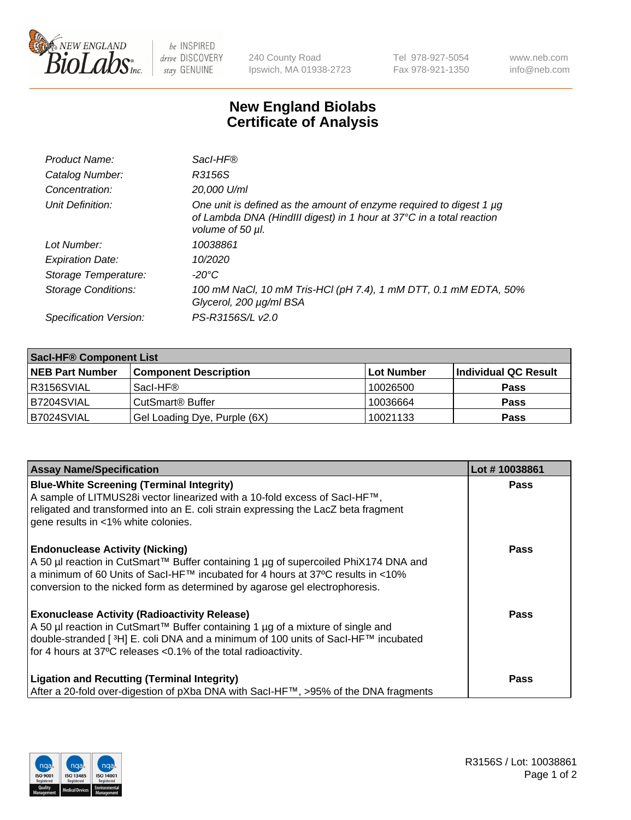

 $be$  INSPIRED drive DISCOVERY stay GENUINE

240 County Road Ipswich, MA 01938-2723 Tel 978-927-5054 Fax 978-921-1350 www.neb.com info@neb.com

## **New England Biolabs Certificate of Analysis**

| Product Name:              | Sacl-HF®                                                                                                                                                        |
|----------------------------|-----------------------------------------------------------------------------------------------------------------------------------------------------------------|
| Catalog Number:            | R3156S                                                                                                                                                          |
| Concentration:             | 20,000 U/ml                                                                                                                                                     |
| Unit Definition:           | One unit is defined as the amount of enzyme required to digest 1 µg<br>of Lambda DNA (HindIII digest) in 1 hour at 37°C in a total reaction<br>volume of 50 µl. |
| Lot Number:                | 10038861                                                                                                                                                        |
| <b>Expiration Date:</b>    | 10/2020                                                                                                                                                         |
| Storage Temperature:       | -20°C                                                                                                                                                           |
| <b>Storage Conditions:</b> | 100 mM NaCl, 10 mM Tris-HCl (pH 7.4), 1 mM DTT, 0.1 mM EDTA, 50%<br>Glycerol, 200 µg/ml BSA                                                                     |
| Specification Version:     | PS-R3156S/L v2.0                                                                                                                                                |

| <b>Saci-HF® Component List</b> |                              |            |                      |  |  |
|--------------------------------|------------------------------|------------|----------------------|--|--|
| <b>NEB Part Number</b>         | <b>Component Description</b> | Lot Number | Individual QC Result |  |  |
| I R3156SVIAL                   | Sacl-HF®                     | 10026500   | <b>Pass</b>          |  |  |
| IB7204SVIAL                    | CutSmart <sup>®</sup> Buffer | 10036664   | <b>Pass</b>          |  |  |
| B7024SVIAL                     | Gel Loading Dye, Purple (6X) | 10021133   | <b>Pass</b>          |  |  |

| <b>Assay Name/Specification</b>                                                                                                                                                                                                                                                                            | Lot #10038861 |
|------------------------------------------------------------------------------------------------------------------------------------------------------------------------------------------------------------------------------------------------------------------------------------------------------------|---------------|
| <b>Blue-White Screening (Terminal Integrity)</b><br>A sample of LITMUS28i vector linearized with a 10-fold excess of SacI-HF™,<br>religated and transformed into an E. coli strain expressing the LacZ beta fragment<br>gene results in <1% white colonies.                                                | <b>Pass</b>   |
| <b>Endonuclease Activity (Nicking)</b><br>A 50 µl reaction in CutSmart™ Buffer containing 1 µg of supercoiled PhiX174 DNA and<br>a minimum of 60 Units of Sacl-HF™ incubated for 4 hours at 37°C results in <10%<br>conversion to the nicked form as determined by agarose gel electrophoresis.            | <b>Pass</b>   |
| <b>Exonuclease Activity (Radioactivity Release)</b><br>A 50 µl reaction in CutSmart™ Buffer containing 1 µg of a mixture of single and<br>double-stranded [ <sup>3</sup> H] E. coli DNA and a minimum of 100 units of Sacl-HF™ incubated<br>for 4 hours at 37°C releases <0.1% of the total radioactivity. | <b>Pass</b>   |
| <b>Ligation and Recutting (Terminal Integrity)</b><br>After a 20-fold over-digestion of pXba DNA with Sacl-HF™, >95% of the DNA fragments                                                                                                                                                                  | <b>Pass</b>   |